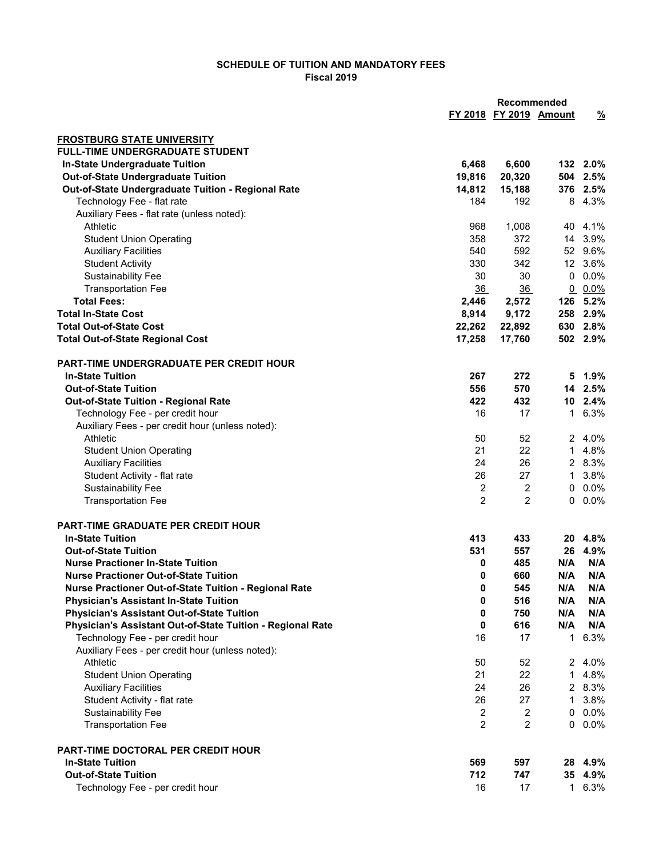## SCHEDULE OF TUITION AND MANDATORY FEES Fiscal 2019

|                                                                                                    |                | Recommended            |                |                    |
|----------------------------------------------------------------------------------------------------|----------------|------------------------|----------------|--------------------|
|                                                                                                    |                | FY 2018 FY 2019 Amount |                | $\frac{9}{6}$      |
|                                                                                                    |                |                        |                |                    |
| <b>FROSTBURG STATE UNIVERSITY</b><br><b>FULL-TIME UNDERGRADUATE STUDENT</b>                        |                |                        |                |                    |
| <b>In-State Undergraduate Tuition</b>                                                              | 6,468          | 6,600                  |                | 132 2.0%           |
| <b>Out-of-State Undergraduate Tuition</b>                                                          | 19,816         | 20,320                 |                | 504 2.5%           |
| Out-of-State Undergraduate Tuition - Regional Rate                                                 | 14,812         | 15,188                 |                | 376 2.5%           |
| Technology Fee - flat rate                                                                         | 184            | 192                    |                | 8 4.3%             |
| Auxiliary Fees - flat rate (unless noted):                                                         |                |                        |                |                    |
| Athletic                                                                                           | 968            | 1,008                  |                | 40 4.1%            |
| <b>Student Union Operating</b>                                                                     | 358            | 372                    |                | 14 3.9%            |
| <b>Auxiliary Facilities</b>                                                                        | 540            | 592                    |                | 52 9.6%            |
| <b>Student Activity</b>                                                                            | 330            | 342                    |                | 12 3.6%            |
| <b>Sustainability Fee</b>                                                                          | 30             | 30                     | 0              | 0.0%               |
| <b>Transportation Fee</b>                                                                          | 36             | 36                     | $\overline{0}$ | $0.0\%$            |
| <b>Total Fees:</b>                                                                                 | 2,446          | 2,572                  | 126            | 5.2%               |
| <b>Total In-State Cost</b>                                                                         | 8,914          | 9,172                  | 258            | $2.9\%$            |
| <b>Total Out-of-State Cost</b>                                                                     | 22,262         | 22,892                 |                | 630 2.8%           |
| <b>Total Out-of-State Regional Cost</b>                                                            | 17,258         | 17,760                 |                | 502 2.9%           |
|                                                                                                    |                |                        |                |                    |
| PART-TIME UNDERGRADUATE PER CREDIT HOUR                                                            |                |                        |                |                    |
| <b>In-State Tuition</b>                                                                            | 267            | 272                    |                | 5 1.9%             |
| <b>Out-of-State Tuition</b>                                                                        | 556<br>422     | 570<br>432             |                | 14 2.5%<br>10 2.4% |
| Out-of-State Tuition - Regional Rate<br>Technology Fee - per credit hour                           | 16             | 17                     |                | 1 6.3%             |
| Auxiliary Fees - per credit hour (unless noted):                                                   |                |                        |                |                    |
| Athletic                                                                                           | 50             | 52                     |                | 2 4.0%             |
| <b>Student Union Operating</b>                                                                     | 21             | 22                     | $\mathbf 1$    | 4.8%               |
| <b>Auxiliary Facilities</b>                                                                        | 24             | 26                     |                | 2 8.3%             |
| Student Activity - flat rate                                                                       | 26             | 27                     |                | 1 3.8%             |
| <b>Sustainability Fee</b>                                                                          | 2              | 2                      | 0              | $0.0\%$            |
| <b>Transportation Fee</b>                                                                          | 2              | $\overline{2}$         |                | $0.0\%$            |
|                                                                                                    |                |                        |                |                    |
| PART-TIME GRADUATE PER CREDIT HOUR                                                                 |                |                        |                |                    |
| <b>In-State Tuition</b>                                                                            | 413            | 433                    |                | 20 4.8%            |
| <b>Out-of-State Tuition</b>                                                                        | 531            | 557                    | 26             | 4.9%               |
| <b>Nurse Practioner In-State Tuition</b>                                                           | 0              | 485                    | N/A            | N/A                |
| <b>Nurse Practioner Out-of-State Tuition</b>                                                       | 0              | 660                    | N/A            | N/A                |
| Nurse Practioner Out-of-State Tuition - Regional Rate                                              | 0              | 545<br>516             | N/A            | N/A<br>N/A         |
| <b>Physician's Assistant In-State Tuition</b><br><b>Physician's Assistant Out-of-State Tuition</b> | 0<br>0         | 750                    | N/A<br>N/A     | N/A                |
| Physician's Assistant Out-of-State Tuition - Regional Rate                                         | 0              | 616                    | N/A            | N/A                |
| Technology Fee - per credit hour                                                                   | 16             | 17                     | $\mathbf 1$    | 6.3%               |
| Auxiliary Fees - per credit hour (unless noted):                                                   |                |                        |                |                    |
| Athletic                                                                                           | 50             | 52                     |                | 2 4.0%             |
| <b>Student Union Operating</b>                                                                     | 21             | 22                     | $\mathbf 1$    | 4.8%               |
| <b>Auxiliary Facilities</b>                                                                        | 24             | 26                     |                | 2 8.3%             |
| Student Activity - flat rate                                                                       | 26             | 27                     | 1              | 3.8%               |
| <b>Sustainability Fee</b>                                                                          | $\overline{2}$ | 2                      | 0              | $0.0\%$            |
| <b>Transportation Fee</b>                                                                          | $\overline{2}$ | $\overline{2}$         |                | $0.0\%$            |
|                                                                                                    |                |                        |                |                    |
| PART-TIME DOCTORAL PER CREDIT HOUR                                                                 |                |                        |                |                    |
| <b>In-State Tuition</b>                                                                            | 569            | 597                    |                | 28 4.9%            |
| <b>Out-of-State Tuition</b>                                                                        | 712<br>16      | 747<br>17              |                | 35 4.9%<br>1 6.3%  |
| Technology Fee - per credit hour                                                                   |                |                        |                |                    |